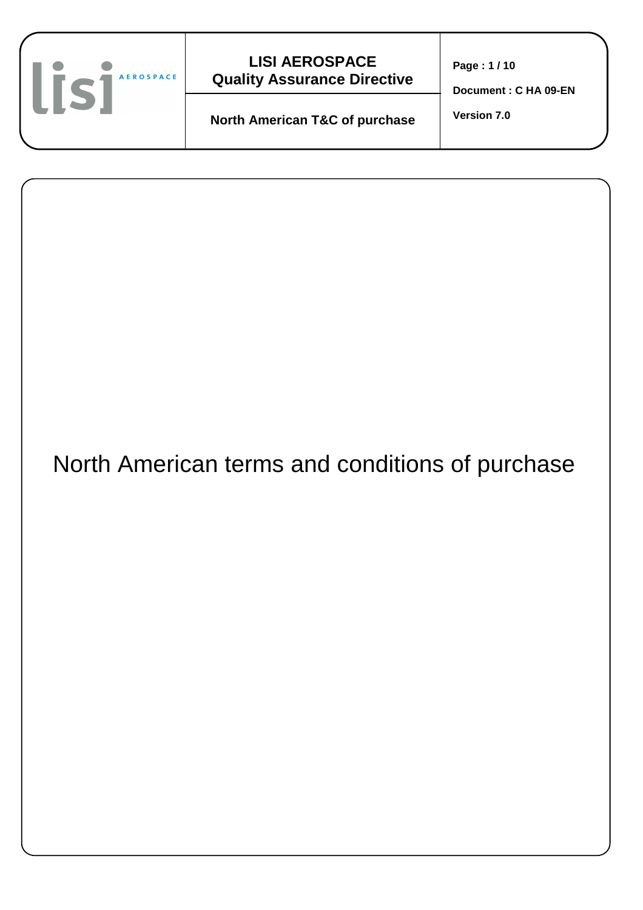

| North American terms and conditions of purchase |  |
|-------------------------------------------------|--|
|                                                 |  |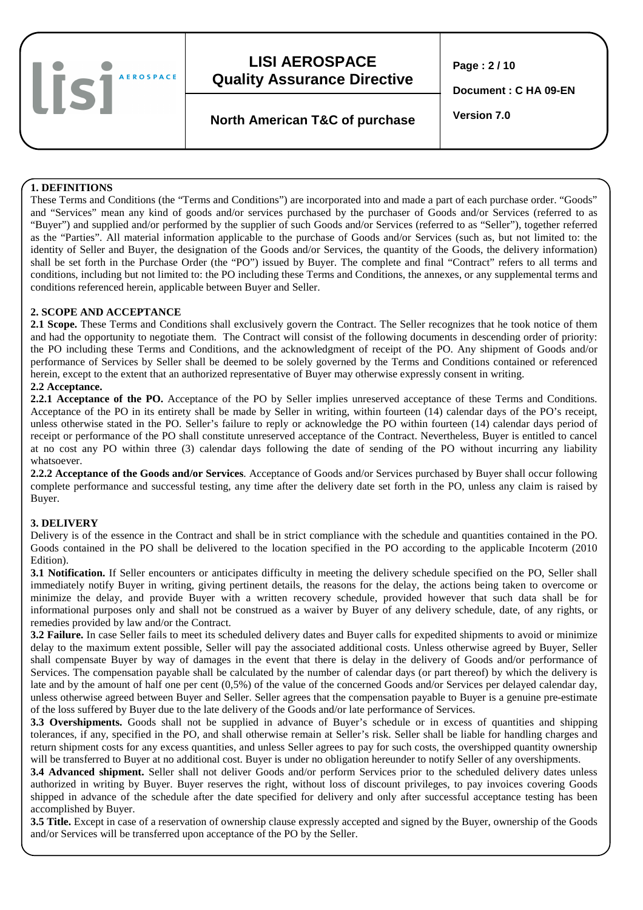lisi **AEROSPACE** 

# **LISI AEROSPACE Quality Assurance Directive**

**Page : 2 / 10** 

**Document : C HA 09-EN** 

**Version 7.0 North American T&C of purchase** 

#### **1. DEFINITIONS**

These Terms and Conditions (the "Terms and Conditions") are incorporated into and made a part of each purchase order. "Goods" and "Services" mean any kind of goods and/or services purchased by the purchaser of Goods and/or Services (referred to as "Buyer") and supplied and/or performed by the supplier of such Goods and/or Services (referred to as "Seller"), together referred as the "Parties". All material information applicable to the purchase of Goods and/or Services (such as, but not limited to: the identity of Seller and Buyer, the designation of the Goods and/or Services, the quantity of the Goods, the delivery information) shall be set forth in the Purchase Order (the "PO") issued by Buyer. The complete and final "Contract" refers to all terms and conditions, including but not limited to: the PO including these Terms and Conditions, the annexes, or any supplemental terms and conditions referenced herein, applicable between Buyer and Seller.

#### **2. SCOPE AND ACCEPTANCE**

**2.1 Scope.** These Terms and Conditions shall exclusively govern the Contract. The Seller recognizes that he took notice of them and had the opportunity to negotiate them. The Contract will consist of the following documents in descending order of priority: the PO including these Terms and Conditions, and the acknowledgment of receipt of the PO. Any shipment of Goods and/or performance of Services by Seller shall be deemed to be solely governed by the Terms and Conditions contained or referenced herein, except to the extent that an authorized representative of Buyer may otherwise expressly consent in writing.

#### **2.2 Acceptance.**

**2.2.1 Acceptance of the PO.** Acceptance of the PO by Seller implies unreserved acceptance of these Terms and Conditions. Acceptance of the PO in its entirety shall be made by Seller in writing, within fourteen (14) calendar days of the PO's receipt, unless otherwise stated in the PO. Seller's failure to reply or acknowledge the PO within fourteen (14) calendar days period of receipt or performance of the PO shall constitute unreserved acceptance of the Contract. Nevertheless, Buyer is entitled to cancel at no cost any PO within three (3) calendar days following the date of sending of the PO without incurring any liability whatsoever.

**2.2.2 Acceptance of the Goods and/or Services**. Acceptance of Goods and/or Services purchased by Buyer shall occur following complete performance and successful testing, any time after the delivery date set forth in the PO, unless any claim is raised by Buyer.

### **3. DELIVERY**

Delivery is of the essence in the Contract and shall be in strict compliance with the schedule and quantities contained in the PO. Goods contained in the PO shall be delivered to the location specified in the PO according to the applicable Incoterm (2010 Edition).

**3.1 Notification.** If Seller encounters or anticipates difficulty in meeting the delivery schedule specified on the PO, Seller shall immediately notify Buyer in writing, giving pertinent details, the reasons for the delay, the actions being taken to overcome or minimize the delay, and provide Buyer with a written recovery schedule, provided however that such data shall be for informational purposes only and shall not be construed as a waiver by Buyer of any delivery schedule, date, of any rights, or remedies provided by law and/or the Contract.

**3.2 Failure.** In case Seller fails to meet its scheduled delivery dates and Buyer calls for expedited shipments to avoid or minimize delay to the maximum extent possible, Seller will pay the associated additional costs. Unless otherwise agreed by Buyer, Seller shall compensate Buyer by way of damages in the event that there is delay in the delivery of Goods and/or performance of Services. The compensation payable shall be calculated by the number of calendar days (or part thereof) by which the delivery is late and by the amount of half one per cent (0,5%) of the value of the concerned Goods and/or Services per delayed calendar day, unless otherwise agreed between Buyer and Seller. Seller agrees that the compensation payable to Buyer is a genuine pre-estimate of the loss suffered by Buyer due to the late delivery of the Goods and/or late performance of Services.

**3.3 Overshipments.** Goods shall not be supplied in advance of Buyer's schedule or in excess of quantities and shipping tolerances, if any, specified in the PO, and shall otherwise remain at Seller's risk. Seller shall be liable for handling charges and return shipment costs for any excess quantities, and unless Seller agrees to pay for such costs, the overshipped quantity ownership will be transferred to Buyer at no additional cost. Buyer is under no obligation hereunder to notify Seller of any overshipments.

**3.4 Advanced shipment.** Seller shall not deliver Goods and/or perform Services prior to the scheduled delivery dates unless authorized in writing by Buyer. Buyer reserves the right, without loss of discount privileges, to pay invoices covering Goods shipped in advance of the schedule after the date specified for delivery and only after successful acceptance testing has been accomplished by Buyer.

**3.5 Title.** Except in case of a reservation of ownership clause expressly accepted and signed by the Buyer, ownership of the Goods and/or Services will be transferred upon acceptance of the PO by the Seller.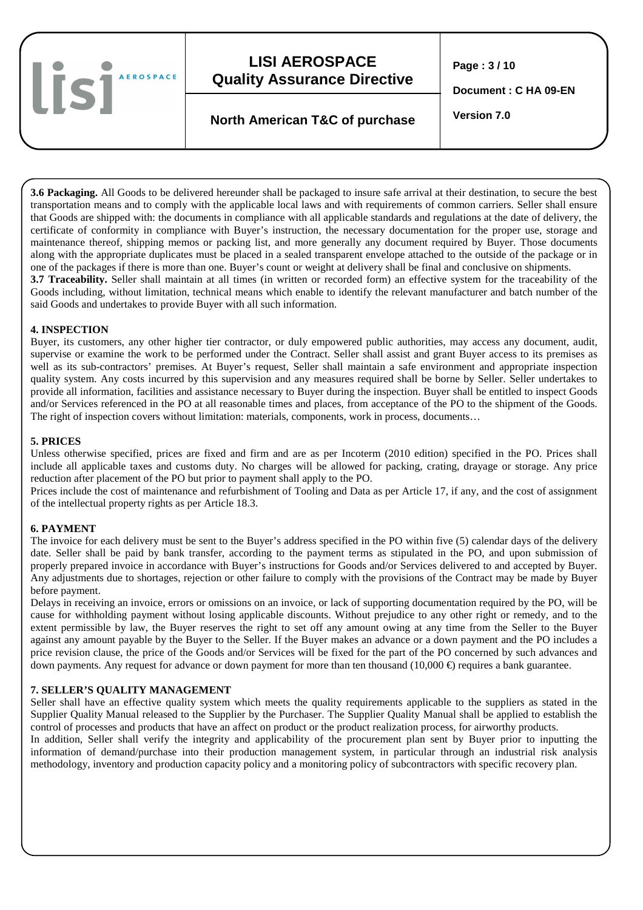lisi **AEROSPACE** 

# **LISI AEROSPACE Quality Assurance Directive**

**Page : 3 / 10** 

**Document : C HA 09-EN** 

# **Version 7.0 North American T&C of purchase**

**3.6 Packaging.** All Goods to be delivered hereunder shall be packaged to insure safe arrival at their destination, to secure the best transportation means and to comply with the applicable local laws and with requirements of common carriers. Seller shall ensure that Goods are shipped with: the documents in compliance with all applicable standards and regulations at the date of delivery, the certificate of conformity in compliance with Buyer's instruction, the necessary documentation for the proper use, storage and maintenance thereof, shipping memos or packing list, and more generally any document required by Buyer. Those documents along with the appropriate duplicates must be placed in a sealed transparent envelope attached to the outside of the package or in one of the packages if there is more than one. Buyer's count or weight at delivery shall be final and conclusive on shipments. **3.7 Traceability.** Seller shall maintain at all times (in written or recorded form) an effective system for the traceability of the Goods including, without limitation, technical means which enable to identify the relevant manufacturer and batch number of the said Goods and undertakes to provide Buyer with all such information.

#### **4. INSPECTION**

Buyer, its customers, any other higher tier contractor, or duly empowered public authorities, may access any document, audit, supervise or examine the work to be performed under the Contract. Seller shall assist and grant Buyer access to its premises as well as its sub-contractors' premises. At Buyer's request, Seller shall maintain a safe environment and appropriate inspection quality system. Any costs incurred by this supervision and any measures required shall be borne by Seller. Seller undertakes to provide all information, facilities and assistance necessary to Buyer during the inspection. Buyer shall be entitled to inspect Goods and/or Services referenced in the PO at all reasonable times and places, from acceptance of the PO to the shipment of the Goods. The right of inspection covers without limitation: materials, components, work in process, documents…

#### **5. PRICES**

Unless otherwise specified, prices are fixed and firm and are as per Incoterm (2010 edition) specified in the PO. Prices shall include all applicable taxes and customs duty. No charges will be allowed for packing, crating, drayage or storage. Any price reduction after placement of the PO but prior to payment shall apply to the PO.

Prices include the cost of maintenance and refurbishment of Tooling and Data as per Article 17, if any, and the cost of assignment of the intellectual property rights as per Article 18.3.

#### **6. PAYMENT**

The invoice for each delivery must be sent to the Buyer's address specified in the PO within five (5) calendar days of the delivery date. Seller shall be paid by bank transfer, according to the payment terms as stipulated in the PO, and upon submission of properly prepared invoice in accordance with Buyer's instructions for Goods and/or Services delivered to and accepted by Buyer. Any adjustments due to shortages, rejection or other failure to comply with the provisions of the Contract may be made by Buyer before payment.

Delays in receiving an invoice, errors or omissions on an invoice, or lack of supporting documentation required by the PO, will be cause for withholding payment without losing applicable discounts. Without prejudice to any other right or remedy, and to the extent permissible by law, the Buyer reserves the right to set off any amount owing at any time from the Seller to the Buyer against any amount payable by the Buyer to the Seller. If the Buyer makes an advance or a down payment and the PO includes a price revision clause, the price of the Goods and/or Services will be fixed for the part of the PO concerned by such advances and down payments. Any request for advance or down payment for more than ten thousand  $(10,000 \in \epsilon)$  requires a bank guarantee.

#### **7. SELLER'S QUALITY MANAGEMENT**

Seller shall have an effective quality system which meets the quality requirements applicable to the suppliers as stated in the Supplier Quality Manual released to the Supplier by the Purchaser. The Supplier Quality Manual shall be applied to establish the control of processes and products that have an affect on product or the product realization process, for airworthy products. In addition, Seller shall verify the integrity and applicability of the procurement plan sent by Buyer prior to inputting the information of demand/purchase into their production management system, in particular through an industrial risk analysis methodology, inventory and production capacity policy and a monitoring policy of subcontractors with specific recovery plan.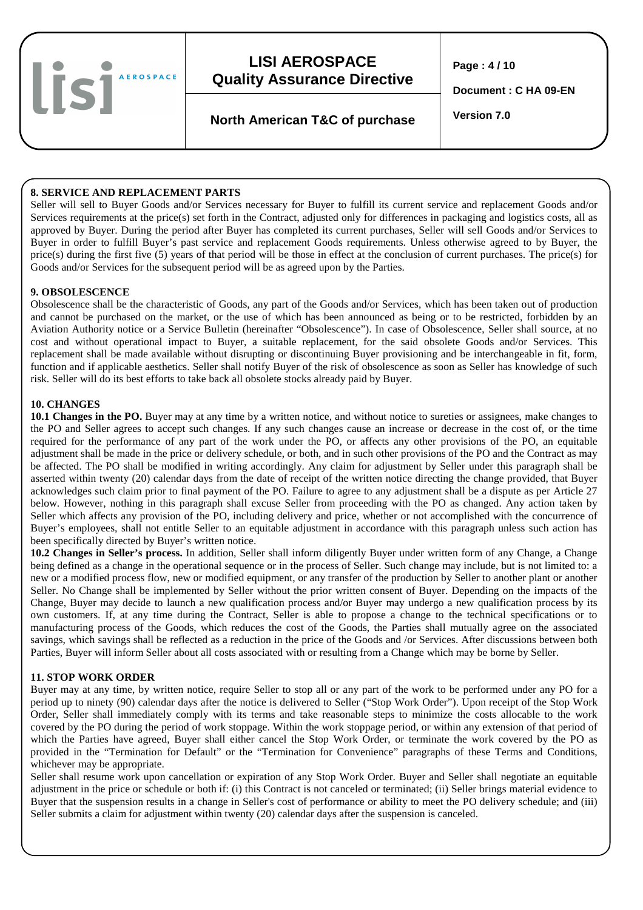lisi **AEROSPACE** 

# **LISI AEROSPACE Quality Assurance Directive**

**Page : 4 / 10** 

**Document : C HA 09-EN** 

# **Version 7.0 North American T&C of purchase**

### **8. SERVICE AND REPLACEMENT PARTS**

Seller will sell to Buyer Goods and/or Services necessary for Buyer to fulfill its current service and replacement Goods and/or Services requirements at the price(s) set forth in the Contract, adjusted only for differences in packaging and logistics costs, all as approved by Buyer. During the period after Buyer has completed its current purchases, Seller will sell Goods and/or Services to Buyer in order to fulfill Buyer's past service and replacement Goods requirements. Unless otherwise agreed to by Buyer, the price(s) during the first five (5) years of that period will be those in effect at the conclusion of current purchases. The price(s) for Goods and/or Services for the subsequent period will be as agreed upon by the Parties.

#### **9. OBSOLESCENCE**

Obsolescence shall be the characteristic of Goods, any part of the Goods and/or Services, which has been taken out of production and cannot be purchased on the market, or the use of which has been announced as being or to be restricted, forbidden by an Aviation Authority notice or a Service Bulletin (hereinafter "Obsolescence"). In case of Obsolescence, Seller shall source, at no cost and without operational impact to Buyer, a suitable replacement, for the said obsolete Goods and/or Services. This replacement shall be made available without disrupting or discontinuing Buyer provisioning and be interchangeable in fit, form, function and if applicable aesthetics. Seller shall notify Buyer of the risk of obsolescence as soon as Seller has knowledge of such risk. Seller will do its best efforts to take back all obsolete stocks already paid by Buyer.

#### **10. CHANGES**

**10.1 Changes in the PO.** Buyer may at any time by a written notice, and without notice to sureties or assignees, make changes to the PO and Seller agrees to accept such changes. If any such changes cause an increase or decrease in the cost of, or the time required for the performance of any part of the work under the PO, or affects any other provisions of the PO, an equitable adjustment shall be made in the price or delivery schedule, or both, and in such other provisions of the PO and the Contract as may be affected. The PO shall be modified in writing accordingly. Any claim for adjustment by Seller under this paragraph shall be asserted within twenty (20) calendar days from the date of receipt of the written notice directing the change provided, that Buyer acknowledges such claim prior to final payment of the PO. Failure to agree to any adjustment shall be a dispute as per Article 27 below. However, nothing in this paragraph shall excuse Seller from proceeding with the PO as changed. Any action taken by Seller which affects any provision of the PO, including delivery and price, whether or not accomplished with the concurrence of Buyer's employees, shall not entitle Seller to an equitable adjustment in accordance with this paragraph unless such action has been specifically directed by Buyer's written notice.

**10.2 Changes in Seller's process.** In addition, Seller shall inform diligently Buyer under written form of any Change, a Change being defined as a change in the operational sequence or in the process of Seller. Such change may include, but is not limited to: a new or a modified process flow, new or modified equipment, or any transfer of the production by Seller to another plant or another Seller. No Change shall be implemented by Seller without the prior written consent of Buyer. Depending on the impacts of the Change, Buyer may decide to launch a new qualification process and/or Buyer may undergo a new qualification process by its own customers. If, at any time during the Contract, Seller is able to propose a change to the technical specifications or to manufacturing process of the Goods, which reduces the cost of the Goods, the Parties shall mutually agree on the associated savings, which savings shall be reflected as a reduction in the price of the Goods and /or Services. After discussions between both Parties, Buyer will inform Seller about all costs associated with or resulting from a Change which may be borne by Seller.

### **11. STOP WORK ORDER**

Buyer may at any time, by written notice, require Seller to stop all or any part of the work to be performed under any PO for a period up to ninety (90) calendar days after the notice is delivered to Seller ("Stop Work Order"). Upon receipt of the Stop Work Order, Seller shall immediately comply with its terms and take reasonable steps to minimize the costs allocable to the work covered by the PO during the period of work stoppage. Within the work stoppage period, or within any extension of that period of which the Parties have agreed, Buyer shall either cancel the Stop Work Order, or terminate the work covered by the PO as provided in the "Termination for Default" or the "Termination for Convenience" paragraphs of these Terms and Conditions, whichever may be appropriate.

Seller shall resume work upon cancellation or expiration of any Stop Work Order. Buyer and Seller shall negotiate an equitable adjustment in the price or schedule or both if: (i) this Contract is not canceled or terminated; (ii) Seller brings material evidence to Buyer that the suspension results in a change in Seller's cost of performance or ability to meet the PO delivery schedule; and (iii) Seller submits a claim for adjustment within twenty (20) calendar days after the suspension is canceled.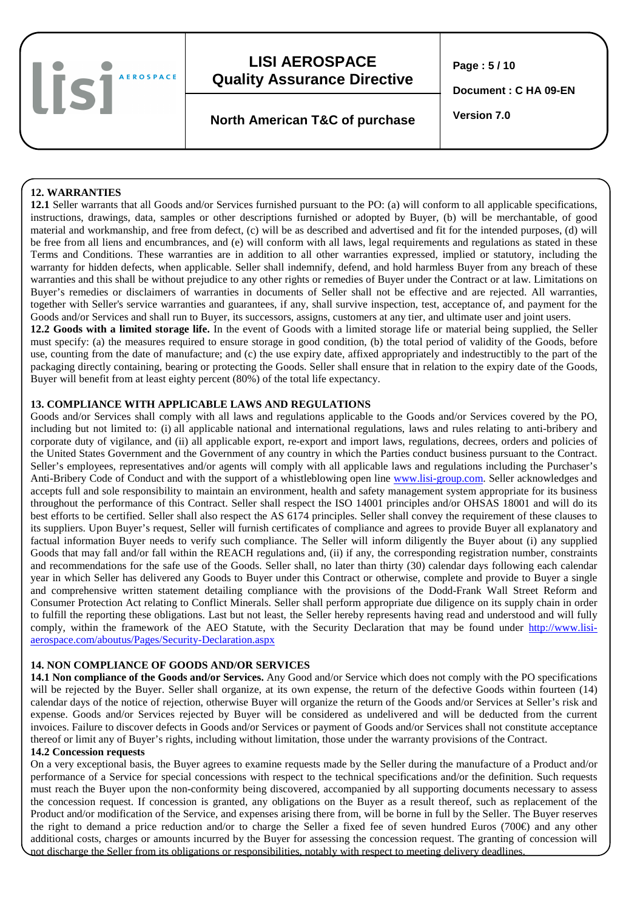

**Page : 5 / 10** 

**Document : C HA 09-EN** 

**Version 7.0 North American T&C of purchase** 

### **12. WARRANTIES**

**12.1** Seller warrants that all Goods and/or Services furnished pursuant to the PO: (a) will conform to all applicable specifications, instructions, drawings, data, samples or other descriptions furnished or adopted by Buyer, (b) will be merchantable, of good material and workmanship, and free from defect, (c) will be as described and advertised and fit for the intended purposes, (d) will be free from all liens and encumbrances, and (e) will conform with all laws, legal requirements and regulations as stated in these Terms and Conditions. These warranties are in addition to all other warranties expressed, implied or statutory, including the warranty for hidden defects, when applicable. Seller shall indemnify, defend, and hold harmless Buyer from any breach of these warranties and this shall be without prejudice to any other rights or remedies of Buyer under the Contract or at law. Limitations on Buyer's remedies or disclaimers of warranties in documents of Seller shall not be effective and are rejected. All warranties, together with Seller's service warranties and guarantees, if any, shall survive inspection, test, acceptance of, and payment for the Goods and/or Services and shall run to Buyer, its successors, assigns, customers at any tier, and ultimate user and joint users.

**12.2 Goods with a limited storage life.** In the event of Goods with a limited storage life or material being supplied, the Seller must specify: (a) the measures required to ensure storage in good condition, (b) the total period of validity of the Goods, before use, counting from the date of manufacture; and (c) the use expiry date, affixed appropriately and indestructibly to the part of the packaging directly containing, bearing or protecting the Goods. Seller shall ensure that in relation to the expiry date of the Goods, Buyer will benefit from at least eighty percent (80%) of the total life expectancy.

#### **13. COMPLIANCE WITH APPLICABLE LAWS AND REGULATIONS**

Goods and/or Services shall comply with all laws and regulations applicable to the Goods and/or Services covered by the PO, including but not limited to: (i) all applicable national and international regulations, laws and rules relating to anti-bribery and corporate duty of vigilance, and (ii) all applicable export, re-export and import laws, regulations, decrees, orders and policies of the United States Government and the Government of any country in which the Parties conduct business pursuant to the Contract. Seller's employees, representatives and/or agents will comply with all applicable laws and regulations including the Purchaser's Anti-Bribery Code of Conduct and with the support of a whistleblowing open line www.lisi-group.com. Seller acknowledges and accepts full and sole responsibility to maintain an environment, health and safety management system appropriate for its business throughout the performance of this Contract. Seller shall respect the ISO 14001 principles and/or OHSAS 18001 and will do its best efforts to be certified. Seller shall also respect the AS 6174 principles. Seller shall convey the requirement of these clauses to its suppliers. Upon Buyer's request, Seller will furnish certificates of compliance and agrees to provide Buyer all explanatory and factual information Buyer needs to verify such compliance. The Seller will inform diligently the Buyer about (i) any supplied Goods that may fall and/or fall within the REACH regulations and, (ii) if any, the corresponding registration number, constraints and recommendations for the safe use of the Goods. Seller shall, no later than thirty (30) calendar days following each calendar year in which Seller has delivered any Goods to Buyer under this Contract or otherwise, complete and provide to Buyer a single and comprehensive written statement detailing compliance with the provisions of the Dodd-Frank Wall Street Reform and Consumer Protection Act relating to Conflict Minerals. Seller shall perform appropriate due diligence on its supply chain in order to fulfill the reporting these obligations. Last but not least, the Seller hereby represents having read and understood and will fully comply, within the framework of the AEO Statute, with the Security Declaration that may be found under http://www.lisiaerospace.com/aboutus/Pages/Security-Declaration.aspx

### **14. NON COMPLIANCE OF GOODS AND/OR SERVICES**

**14.1 Non compliance of the Goods and/or Services.** Any Good and/or Service which does not comply with the PO specifications will be rejected by the Buyer. Seller shall organize, at its own expense, the return of the defective Goods within fourteen (14) calendar days of the notice of rejection, otherwise Buyer will organize the return of the Goods and/or Services at Seller's risk and expense. Goods and/or Services rejected by Buyer will be considered as undelivered and will be deducted from the current invoices. Failure to discover defects in Goods and/or Services or payment of Goods and/or Services shall not constitute acceptance thereof or limit any of Buyer's rights, including without limitation, those under the warranty provisions of the Contract.

#### **14.2 Concession requests**

On a very exceptional basis, the Buyer agrees to examine requests made by the Seller during the manufacture of a Product and/or performance of a Service for special concessions with respect to the technical specifications and/or the definition. Such requests must reach the Buyer upon the non-conformity being discovered, accompanied by all supporting documents necessary to assess the concession request. If concession is granted, any obligations on the Buyer as a result thereof, such as replacement of the Product and/or modification of the Service, and expenses arising there from, will be borne in full by the Seller. The Buyer reserves the right to demand a price reduction and/or to charge the Seller a fixed fee of seven hundred Euros (700€) and any other additional costs, charges or amounts incurred by the Buyer for assessing the concession request. The granting of concession will not discharge the Seller from its obligations or responsibilities, notably with respect to meeting delivery deadlines.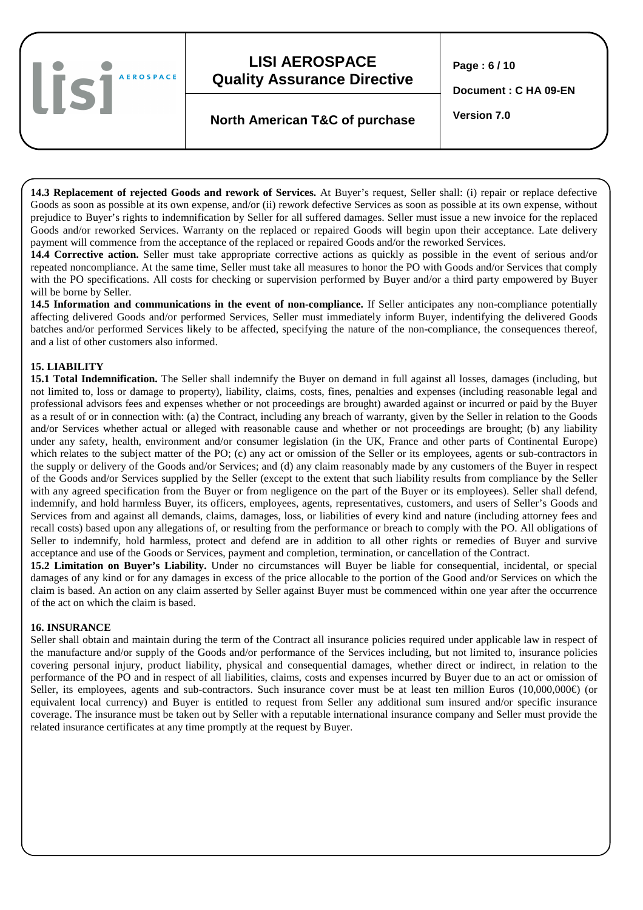**Page : 6 / 10** 

**Document : C HA 09-EN** 

# **Version 7.0 North American T&C of purchase**

**14.3 Replacement of rejected Goods and rework of Services.** At Buyer's request, Seller shall: (i) repair or replace defective Goods as soon as possible at its own expense, and/or (ii) rework defective Services as soon as possible at its own expense, without prejudice to Buyer's rights to indemnification by Seller for all suffered damages. Seller must issue a new invoice for the replaced Goods and/or reworked Services. Warranty on the replaced or repaired Goods will begin upon their acceptance. Late delivery payment will commence from the acceptance of the replaced or repaired Goods and/or the reworked Services.

**14.4 Corrective action.** Seller must take appropriate corrective actions as quickly as possible in the event of serious and/or repeated noncompliance. At the same time, Seller must take all measures to honor the PO with Goods and/or Services that comply with the PO specifications. All costs for checking or supervision performed by Buyer and/or a third party empowered by Buyer will be borne by Seller.

**14.5 Information and communications in the event of non-compliance.** If Seller anticipates any non-compliance potentially affecting delivered Goods and/or performed Services, Seller must immediately inform Buyer, indentifying the delivered Goods batches and/or performed Services likely to be affected, specifying the nature of the non-compliance, the consequences thereof, and a list of other customers also informed.

### **15. LIABILITY**

lisi

**AEROSPACE** 

**15.1 Total Indemnification.** The Seller shall indemnify the Buyer on demand in full against all losses, damages (including, but not limited to, loss or damage to property), liability, claims, costs, fines, penalties and expenses (including reasonable legal and professional advisors fees and expenses whether or not proceedings are brought) awarded against or incurred or paid by the Buyer as a result of or in connection with: (a) the Contract, including any breach of warranty, given by the Seller in relation to the Goods and/or Services whether actual or alleged with reasonable cause and whether or not proceedings are brought; (b) any liability under any safety, health, environment and/or consumer legislation (in the UK, France and other parts of Continental Europe) which relates to the subject matter of the PO; (c) any act or omission of the Seller or its employees, agents or sub-contractors in the supply or delivery of the Goods and/or Services; and (d) any claim reasonably made by any customers of the Buyer in respect of the Goods and/or Services supplied by the Seller (except to the extent that such liability results from compliance by the Seller with any agreed specification from the Buyer or from negligence on the part of the Buyer or its employees). Seller shall defend, indemnify, and hold harmless Buyer, its officers, employees, agents, representatives, customers, and users of Seller's Goods and Services from and against all demands, claims, damages, loss, or liabilities of every kind and nature (including attorney fees and recall costs) based upon any allegations of, or resulting from the performance or breach to comply with the PO. All obligations of Seller to indemnify, hold harmless, protect and defend are in addition to all other rights or remedies of Buyer and survive acceptance and use of the Goods or Services, payment and completion, termination, or cancellation of the Contract.

**15.2 Limitation on Buyer's Liability.** Under no circumstances will Buyer be liable for consequential, incidental, or special damages of any kind or for any damages in excess of the price allocable to the portion of the Good and/or Services on which the claim is based. An action on any claim asserted by Seller against Buyer must be commenced within one year after the occurrence of the act on which the claim is based.

### **16. INSURANCE**

Seller shall obtain and maintain during the term of the Contract all insurance policies required under applicable law in respect of the manufacture and/or supply of the Goods and/or performance of the Services including, but not limited to, insurance policies covering personal injury, product liability, physical and consequential damages, whether direct or indirect, in relation to the performance of the PO and in respect of all liabilities, claims, costs and expenses incurred by Buyer due to an act or omission of Seller, its employees, agents and sub-contractors. Such insurance cover must be at least ten million Euros (10,000,000€) (or equivalent local currency) and Buyer is entitled to request from Seller any additional sum insured and/or specific insurance coverage. The insurance must be taken out by Seller with a reputable international insurance company and Seller must provide the related insurance certificates at any time promptly at the request by Buyer.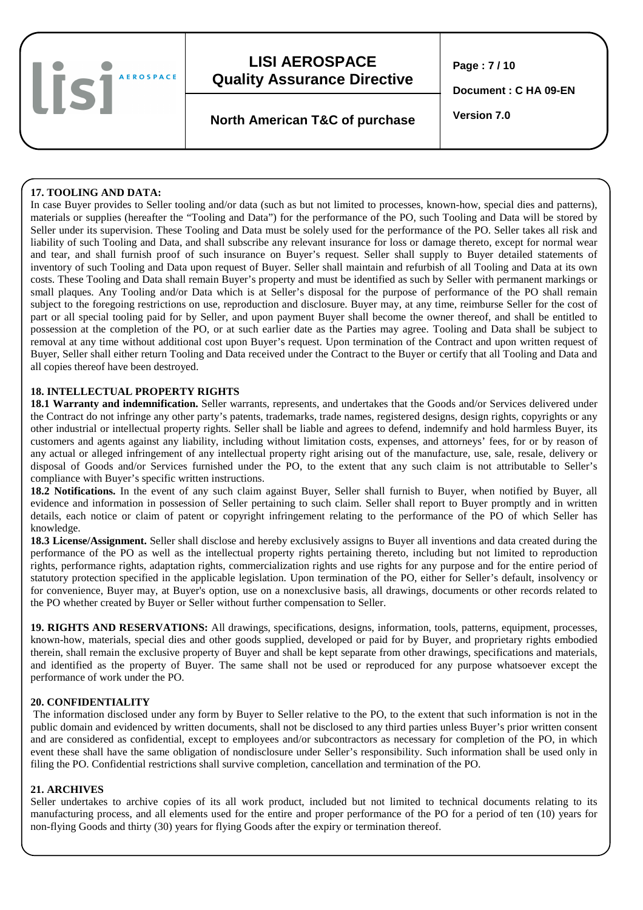

**Page : 7 / 10** 

**Document : C HA 09-EN** 

**Version 7.0 North American T&C of purchase** 

### **17. TOOLING AND DATA:**

In case Buyer provides to Seller tooling and/or data (such as but not limited to processes, known-how, special dies and patterns), materials or supplies (hereafter the "Tooling and Data") for the performance of the PO, such Tooling and Data will be stored by Seller under its supervision. These Tooling and Data must be solely used for the performance of the PO. Seller takes all risk and liability of such Tooling and Data, and shall subscribe any relevant insurance for loss or damage thereto, except for normal wear and tear, and shall furnish proof of such insurance on Buyer's request. Seller shall supply to Buyer detailed statements of inventory of such Tooling and Data upon request of Buyer. Seller shall maintain and refurbish of all Tooling and Data at its own costs. These Tooling and Data shall remain Buyer's property and must be identified as such by Seller with permanent markings or small plaques. Any Tooling and/or Data which is at Seller's disposal for the purpose of performance of the PO shall remain subject to the foregoing restrictions on use, reproduction and disclosure. Buyer may, at any time, reimburse Seller for the cost of part or all special tooling paid for by Seller, and upon payment Buyer shall become the owner thereof, and shall be entitled to possession at the completion of the PO, or at such earlier date as the Parties may agree. Tooling and Data shall be subject to removal at any time without additional cost upon Buyer's request. Upon termination of the Contract and upon written request of Buyer, Seller shall either return Tooling and Data received under the Contract to the Buyer or certify that all Tooling and Data and all copies thereof have been destroyed.

### **18. INTELLECTUAL PROPERTY RIGHTS**

**18.1 Warranty and indemnification.** Seller warrants, represents, and undertakes that the Goods and/or Services delivered under the Contract do not infringe any other party's patents, trademarks, trade names, registered designs, design rights, copyrights or any other industrial or intellectual property rights. Seller shall be liable and agrees to defend, indemnify and hold harmless Buyer, its customers and agents against any liability, including without limitation costs, expenses, and attorneys' fees, for or by reason of any actual or alleged infringement of any intellectual property right arising out of the manufacture, use, sale, resale, delivery or disposal of Goods and/or Services furnished under the PO, to the extent that any such claim is not attributable to Seller's compliance with Buyer's specific written instructions.

**18.2 Notifications.** In the event of any such claim against Buyer, Seller shall furnish to Buyer, when notified by Buyer, all evidence and information in possession of Seller pertaining to such claim. Seller shall report to Buyer promptly and in written details, each notice or claim of patent or copyright infringement relating to the performance of the PO of which Seller has knowledge.

**18.3 License/Assignment.** Seller shall disclose and hereby exclusively assigns to Buyer all inventions and data created during the performance of the PO as well as the intellectual property rights pertaining thereto, including but not limited to reproduction rights, performance rights, adaptation rights, commercialization rights and use rights for any purpose and for the entire period of statutory protection specified in the applicable legislation. Upon termination of the PO, either for Seller's default, insolvency or for convenience, Buyer may, at Buyer's option, use on a nonexclusive basis, all drawings, documents or other records related to the PO whether created by Buyer or Seller without further compensation to Seller.

**19. RIGHTS AND RESERVATIONS:** All drawings, specifications, designs, information, tools, patterns, equipment, processes, known-how, materials, special dies and other goods supplied, developed or paid for by Buyer, and proprietary rights embodied therein, shall remain the exclusive property of Buyer and shall be kept separate from other drawings, specifications and materials, and identified as the property of Buyer. The same shall not be used or reproduced for any purpose whatsoever except the performance of work under the PO.

### **20. CONFIDENTIALITY**

 The information disclosed under any form by Buyer to Seller relative to the PO, to the extent that such information is not in the public domain and evidenced by written documents, shall not be disclosed to any third parties unless Buyer's prior written consent and are considered as confidential, except to employees and/or subcontractors as necessary for completion of the PO, in which event these shall have the same obligation of nondisclosure under Seller's responsibility. Such information shall be used only in filing the PO. Confidential restrictions shall survive completion, cancellation and termination of the PO.

### **21. ARCHIVES**

Seller undertakes to archive copies of its all work product, included but not limited to technical documents relating to its manufacturing process, and all elements used for the entire and proper performance of the PO for a period of ten (10) years for non-flying Goods and thirty (30) years for flying Goods after the expiry or termination thereof.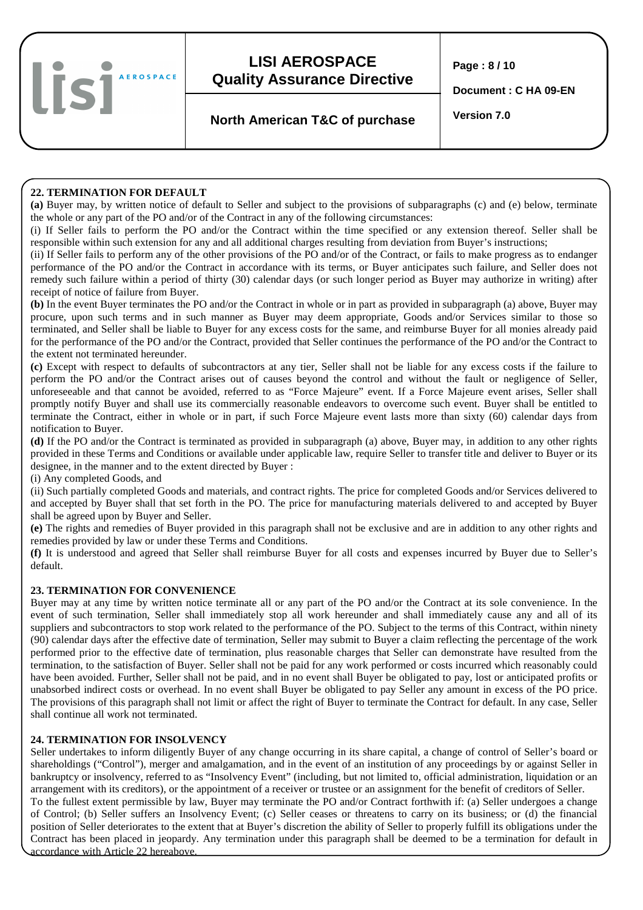

**Page : 8 / 10** 

**Document : C HA 09-EN** 

# **Version 7.0 North American T&C of purchase**

### **22. TERMINATION FOR DEFAULT**

**(a)** Buyer may, by written notice of default to Seller and subject to the provisions of subparagraphs (c) and (e) below, terminate the whole or any part of the PO and/or of the Contract in any of the following circumstances:

(i) If Seller fails to perform the PO and/or the Contract within the time specified or any extension thereof. Seller shall be responsible within such extension for any and all additional charges resulting from deviation from Buyer's instructions;

(ii) If Seller fails to perform any of the other provisions of the PO and/or of the Contract, or fails to make progress as to endanger performance of the PO and/or the Contract in accordance with its terms, or Buyer anticipates such failure, and Seller does not remedy such failure within a period of thirty (30) calendar days (or such longer period as Buyer may authorize in writing) after receipt of notice of failure from Buyer.

**(b)** In the event Buyer terminates the PO and/or the Contract in whole or in part as provided in subparagraph (a) above, Buyer may procure, upon such terms and in such manner as Buyer may deem appropriate, Goods and/or Services similar to those so terminated, and Seller shall be liable to Buyer for any excess costs for the same, and reimburse Buyer for all monies already paid for the performance of the PO and/or the Contract, provided that Seller continues the performance of the PO and/or the Contract to the extent not terminated hereunder.

**(c)** Except with respect to defaults of subcontractors at any tier, Seller shall not be liable for any excess costs if the failure to perform the PO and/or the Contract arises out of causes beyond the control and without the fault or negligence of Seller, unforeseeable and that cannot be avoided, referred to as "Force Majeure" event. If a Force Majeure event arises, Seller shall promptly notify Buyer and shall use its commercially reasonable endeavors to overcome such event. Buyer shall be entitled to terminate the Contract, either in whole or in part, if such Force Majeure event lasts more than sixty (60) calendar days from notification to Buyer.

**(d)** If the PO and/or the Contract is terminated as provided in subparagraph (a) above, Buyer may, in addition to any other rights provided in these Terms and Conditions or available under applicable law, require Seller to transfer title and deliver to Buyer or its designee, in the manner and to the extent directed by Buyer :

(i) Any completed Goods, and

(ii) Such partially completed Goods and materials, and contract rights. The price for completed Goods and/or Services delivered to and accepted by Buyer shall that set forth in the PO. The price for manufacturing materials delivered to and accepted by Buyer shall be agreed upon by Buyer and Seller.

**(e)** The rights and remedies of Buyer provided in this paragraph shall not be exclusive and are in addition to any other rights and remedies provided by law or under these Terms and Conditions.

**(f)** It is understood and agreed that Seller shall reimburse Buyer for all costs and expenses incurred by Buyer due to Seller's default.

### **23. TERMINATION FOR CONVENIENCE**

Buyer may at any time by written notice terminate all or any part of the PO and/or the Contract at its sole convenience. In the event of such termination, Seller shall immediately stop all work hereunder and shall immediately cause any and all of its suppliers and subcontractors to stop work related to the performance of the PO. Subject to the terms of this Contract, within ninety (90) calendar days after the effective date of termination, Seller may submit to Buyer a claim reflecting the percentage of the work performed prior to the effective date of termination, plus reasonable charges that Seller can demonstrate have resulted from the termination, to the satisfaction of Buyer. Seller shall not be paid for any work performed or costs incurred which reasonably could have been avoided. Further, Seller shall not be paid, and in no event shall Buyer be obligated to pay, lost or anticipated profits or unabsorbed indirect costs or overhead. In no event shall Buyer be obligated to pay Seller any amount in excess of the PO price. The provisions of this paragraph shall not limit or affect the right of Buyer to terminate the Contract for default. In any case, Seller shall continue all work not terminated.

### **24. TERMINATION FOR INSOLVENCY**

Seller undertakes to inform diligently Buyer of any change occurring in its share capital, a change of control of Seller's board or shareholdings ("Control"), merger and amalgamation, and in the event of an institution of any proceedings by or against Seller in bankruptcy or insolvency, referred to as "Insolvency Event" (including, but not limited to, official administration, liquidation or an arrangement with its creditors), or the appointment of a receiver or trustee or an assignment for the benefit of creditors of Seller. To the fullest extent permissible by law, Buyer may terminate the PO and/or Contract forthwith if: (a) Seller undergoes a change of Control; (b) Seller suffers an Insolvency Event; (c) Seller ceases or threatens to carry on its business; or (d) the financial position of Seller deteriorates to the extent that at Buyer's discretion the ability of Seller to properly fulfill its obligations under the Contract has been placed in jeopardy. Any termination under this paragraph shall be deemed to be a termination for default in accordance with Article 22 hereabove.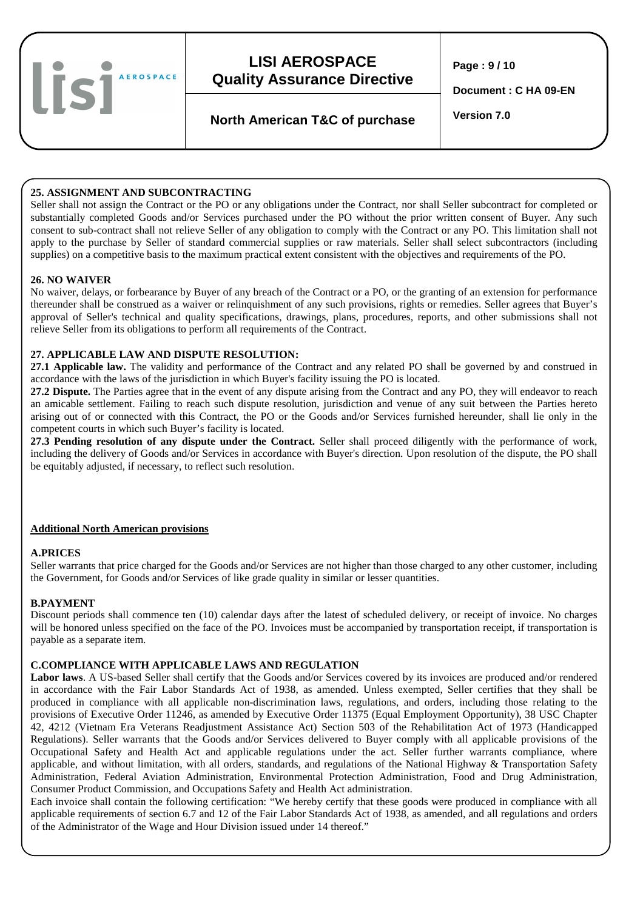

**Page : 9 / 10** 

**Document : C HA 09-EN** 

# **Version 7.0 North American T&C of purchase**

### **25. ASSIGNMENT AND SUBCONTRACTING**

Seller shall not assign the Contract or the PO or any obligations under the Contract, nor shall Seller subcontract for completed or substantially completed Goods and/or Services purchased under the PO without the prior written consent of Buyer. Any such consent to sub-contract shall not relieve Seller of any obligation to comply with the Contract or any PO. This limitation shall not apply to the purchase by Seller of standard commercial supplies or raw materials. Seller shall select subcontractors (including supplies) on a competitive basis to the maximum practical extent consistent with the objectives and requirements of the PO.

### **26. NO WAIVER**

No waiver, delays, or forbearance by Buyer of any breach of the Contract or a PO, or the granting of an extension for performance thereunder shall be construed as a waiver or relinquishment of any such provisions, rights or remedies. Seller agrees that Buyer's approval of Seller's technical and quality specifications, drawings, plans, procedures, reports, and other submissions shall not relieve Seller from its obligations to perform all requirements of the Contract.

#### **27. APPLICABLE LAW AND DISPUTE RESOLUTION:**

**27.1 Applicable law.** The validity and performance of the Contract and any related PO shall be governed by and construed in accordance with the laws of the jurisdiction in which Buyer's facility issuing the PO is located.

**27.2 Dispute.** The Parties agree that in the event of any dispute arising from the Contract and any PO, they will endeavor to reach an amicable settlement. Failing to reach such dispute resolution, jurisdiction and venue of any suit between the Parties hereto arising out of or connected with this Contract, the PO or the Goods and/or Services furnished hereunder, shall lie only in the competent courts in which such Buyer's facility is located.

**27.3 Pending resolution of any dispute under the Contract.** Seller shall proceed diligently with the performance of work, including the delivery of Goods and/or Services in accordance with Buyer's direction. Upon resolution of the dispute, the PO shall be equitably adjusted, if necessary, to reflect such resolution.

### **Additional North American provisions**

### **A.PRICES**

Seller warrants that price charged for the Goods and/or Services are not higher than those charged to any other customer, including the Government, for Goods and/or Services of like grade quality in similar or lesser quantities.

#### **B.PAYMENT**

Discount periods shall commence ten (10) calendar days after the latest of scheduled delivery, or receipt of invoice. No charges will be honored unless specified on the face of the PO. Invoices must be accompanied by transportation receipt, if transportation is payable as a separate item.

#### **C.COMPLIANCE WITH APPLICABLE LAWS AND REGULATION**

**Labor laws**. A US-based Seller shall certify that the Goods and/or Services covered by its invoices are produced and/or rendered in accordance with the Fair Labor Standards Act of 1938, as amended. Unless exempted, Seller certifies that they shall be produced in compliance with all applicable non-discrimination laws, regulations, and orders, including those relating to the provisions of Executive Order 11246, as amended by Executive Order 11375 (Equal Employment Opportunity), 38 USC Chapter 42, 4212 (Vietnam Era Veterans Readjustment Assistance Act) Section 503 of the Rehabilitation Act of 1973 (Handicapped Regulations). Seller warrants that the Goods and/or Services delivered to Buyer comply with all applicable provisions of the Occupational Safety and Health Act and applicable regulations under the act. Seller further warrants compliance, where applicable, and without limitation, with all orders, standards, and regulations of the National Highway & Transportation Safety Administration, Federal Aviation Administration, Environmental Protection Administration, Food and Drug Administration, Consumer Product Commission, and Occupations Safety and Health Act administration.

Each invoice shall contain the following certification: "We hereby certify that these goods were produced in compliance with all applicable requirements of section 6.7 and 12 of the Fair Labor Standards Act of 1938, as amended, and all regulations and orders of the Administrator of the Wage and Hour Division issued under 14 thereof."